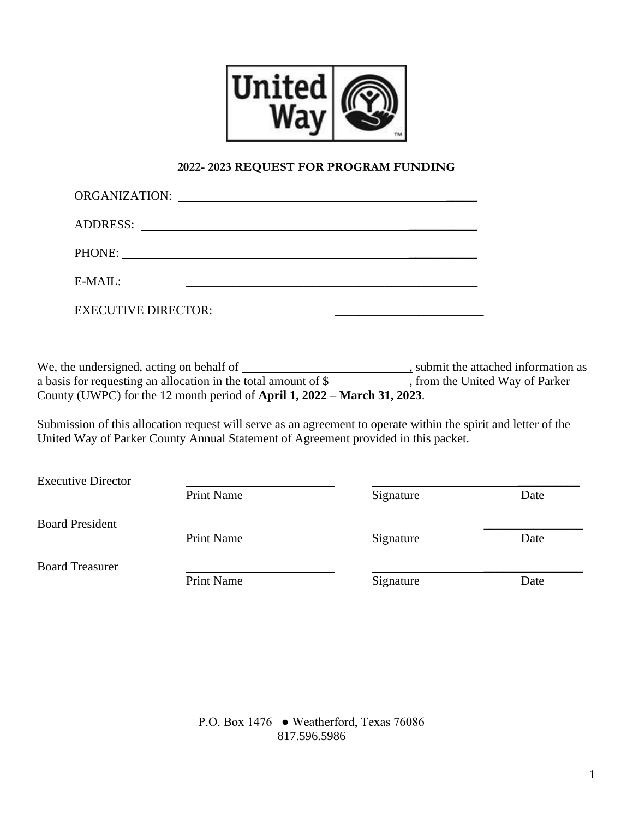

### **2022- 2023 REQUEST FOR PROGRAM FUNDING**

|                            | PHONE:                                        |  |
|----------------------------|-----------------------------------------------|--|
| E-MAIL:                    | <u> 1989 - Andrea Andrew Maria (h. 1989).</u> |  |
| <b>EXECUTIVE DIRECTOR:</b> |                                               |  |

We, the undersigned, acting on behalf of \_\_\_\_\_\_\_\_\_\_\_\_\_\_\_\_\_\_\_\_\_\_\_\_\_\_\_\_, submit the attached information as a basis for requesting an allocation in the total amount of \$ County (UWPC) for the 12 month period of **April 1, 2022 – March 31, 2023**.

Submission of this allocation request will serve as an agreement to operate within the spirit and letter of the United Way of Parker County Annual Statement of Agreement provided in this packet.

| <b>Executive Director</b> |                   |           |      |
|---------------------------|-------------------|-----------|------|
|                           | Print Name        | Signature | Date |
| <b>Board President</b>    |                   |           |      |
|                           | <b>Print Name</b> | Signature | Date |
| <b>Board Treasurer</b>    |                   |           |      |
|                           | Print Name        | Signature | Date |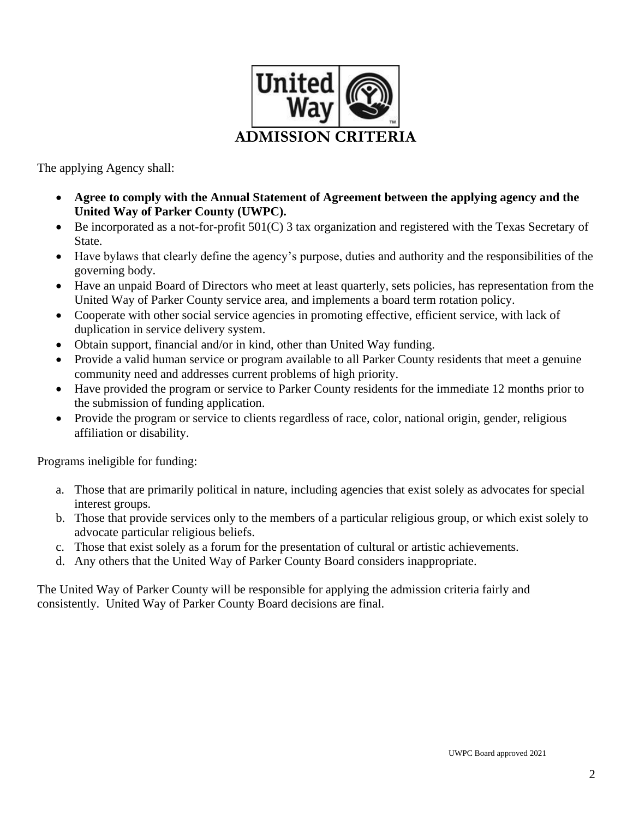

The applying Agency shall:

- **Agree to comply with the Annual Statement of Agreement between the applying agency and the United Way of Parker County (UWPC).**
- Be incorporated as a not-for-profit 501(C) 3 tax organization and registered with the Texas Secretary of State.
- Have bylaws that clearly define the agency's purpose, duties and authority and the responsibilities of the governing body.
- Have an unpaid Board of Directors who meet at least quarterly, sets policies, has representation from the United Way of Parker County service area, and implements a board term rotation policy.
- Cooperate with other social service agencies in promoting effective, efficient service, with lack of duplication in service delivery system.
- Obtain support, financial and/or in kind, other than United Way funding.
- Provide a valid human service or program available to all Parker County residents that meet a genuine community need and addresses current problems of high priority.
- Have provided the program or service to Parker County residents for the immediate 12 months prior to the submission of funding application.
- Provide the program or service to clients regardless of race, color, national origin, gender, religious affiliation or disability.

Programs ineligible for funding:

- a. Those that are primarily political in nature, including agencies that exist solely as advocates for special interest groups.
- b. Those that provide services only to the members of a particular religious group, or which exist solely to advocate particular religious beliefs.
- c. Those that exist solely as a forum for the presentation of cultural or artistic achievements.
- d. Any others that the United Way of Parker County Board considers inappropriate.

The United Way of Parker County will be responsible for applying the admission criteria fairly and consistently. United Way of Parker County Board decisions are final.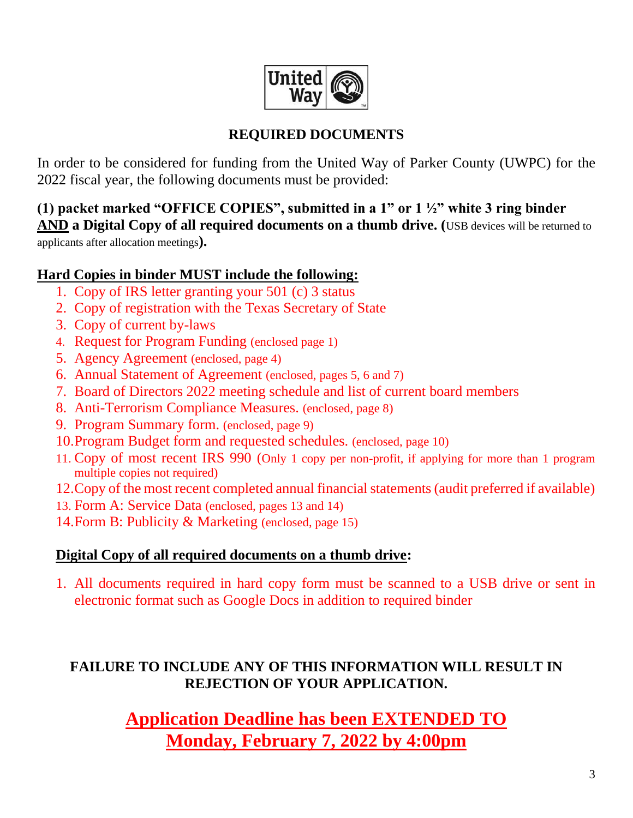

# **REQUIRED DOCUMENTS**

In order to be considered for funding from the United Way of Parker County (UWPC) for the 2022 fiscal year, the following documents must be provided:

# **(1) packet marked "OFFICE COPIES", submitted in a 1" or 1 ½" white 3 ring binder AND a Digital Copy of all required documents on a thumb drive. (**USB devices will be returned to

applicants after allocation meetings**).**

# **Hard Copies in binder MUST include the following:**

- 1. Copy of IRS letter granting your 501 (c) 3 status
- 2. Copy of registration with the Texas Secretary of State
- 3. Copy of current by-laws
- 4. Request for Program Funding (enclosed page 1)
- 5. Agency Agreement (enclosed, page 4)
- 6. Annual Statement of Agreement (enclosed, pages 5, 6 and 7)
- 7. Board of Directors 2022 meeting schedule and list of current board members
- 8. Anti-Terrorism Compliance Measures. (enclosed, page 8)
- 9. Program Summary form. (enclosed, page 9)
- 10.Program Budget form and requested schedules. (enclosed, page 10)
- 11. Copy of most recent IRS 990 (Only 1 copy per non-profit, if applying for more than 1 program multiple copies not required)
- 12.Copy of the most recent completed annual financial statements (audit preferred if available)
- 13. Form A: Service Data (enclosed, pages 13 and 14)
- 14.Form B: Publicity & Marketing (enclosed, page 15)

# **Digital Copy of all required documents on a thumb drive:**

1. All documents required in hard copy form must be scanned to a USB drive or sent in electronic format such as Google Docs in addition to required binder

# **FAILURE TO INCLUDE ANY OF THIS INFORMATION WILL RESULT IN REJECTION OF YOUR APPLICATION.**

**Application Deadline has been EXTENDED TO Monday, February 7, 2022 by 4:00pm**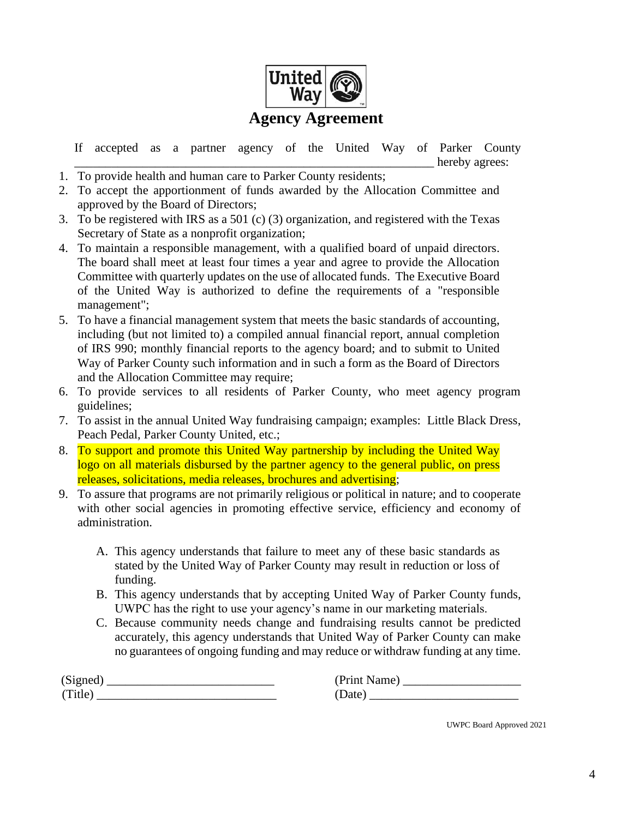

If accepted as a partner agency of the United Way of Parker County hereby agrees:

- 1. To provide health and human care to Parker County residents;
- 2. To accept the apportionment of funds awarded by the Allocation Committee and approved by the Board of Directors;
- 3. To be registered with IRS as a 501 (c) (3) organization, and registered with the Texas Secretary of State as a nonprofit organization;
- 4. To maintain a responsible management, with a qualified board of unpaid directors. The board shall meet at least four times a year and agree to provide the Allocation Committee with quarterly updates on the use of allocated funds. The Executive Board of the United Way is authorized to define the requirements of a "responsible management";
- 5. To have a financial management system that meets the basic standards of accounting, including (but not limited to) a compiled annual financial report, annual completion of IRS 990; monthly financial reports to the agency board; and to submit to United Way of Parker County such information and in such a form as the Board of Directors and the Allocation Committee may require;
- 6. To provide services to all residents of Parker County, who meet agency program guidelines;
- 7. To assist in the annual United Way fundraising campaign; examples: Little Black Dress, Peach Pedal, Parker County United, etc.;
- 8. To support and promote this United Way partnership by including the United Way logo on all materials disbursed by the partner agency to the general public, on press releases, solicitations, media releases, brochures and advertising;
- 9. To assure that programs are not primarily religious or political in nature; and to cooperate with other social agencies in promoting effective service, efficiency and economy of administration.
	- A. This agency understands that failure to meet any of these basic standards as stated by the United Way of Parker County may result in reduction or loss of funding.
	- B. This agency understands that by accepting United Way of Parker County funds, UWPC has the right to use your agency's name in our marketing materials.
	- C. Because community needs change and fundraising results cannot be predicted accurately, this agency understands that United Way of Parker County can make no guarantees of ongoing funding and may reduce or withdraw funding at any time.

| (Signed) | (Print Name)      |
|----------|-------------------|
| (Title)  | Date <sup>'</sup> |

UWPC Board Approved 2021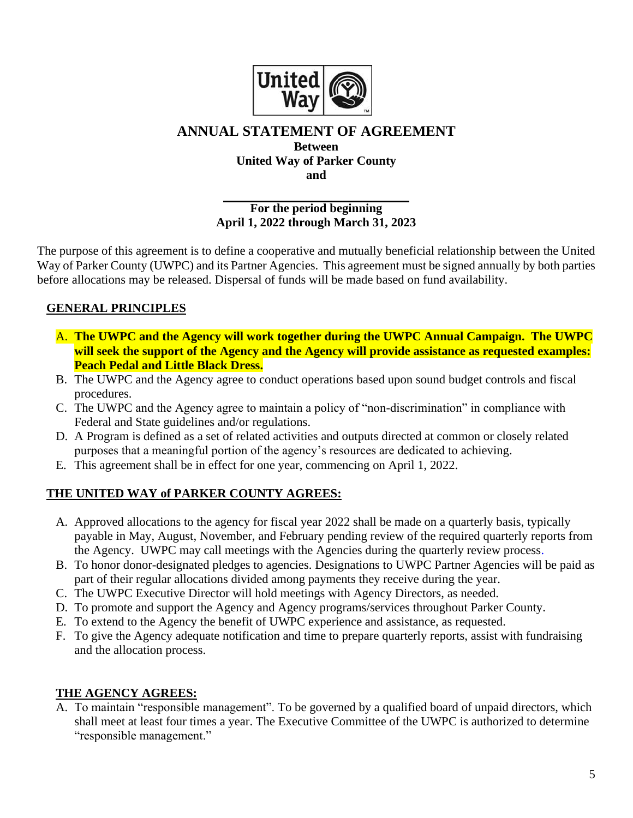

# **ANNUAL STATEMENT OF AGREEMENT**

**Between United Way of Parker County and**

### **For the period beginning April 1, 2022 through March 31, 2023**

The purpose of this agreement is to define a cooperative and mutually beneficial relationship between the United Way of Parker County (UWPC) and its Partner Agencies. This agreement must be signed annually by both parties before allocations may be released. Dispersal of funds will be made based on fund availability.

# **GENERAL PRINCIPLES**

- A. **The UWPC and the Agency will work together during the UWPC Annual Campaign. The UWPC will seek the support of the Agency and the Agency will provide assistance as requested examples: Peach Pedal and Little Black Dress.**
- B. The UWPC and the Agency agree to conduct operations based upon sound budget controls and fiscal procedures.
- C. The UWPC and the Agency agree to maintain a policy of "non-discrimination" in compliance with Federal and State guidelines and/or regulations.
- D. A Program is defined as a set of related activities and outputs directed at common or closely related purposes that a meaningful portion of the agency's resources are dedicated to achieving.
- E. This agreement shall be in effect for one year, commencing on April 1, 2022.

## **THE UNITED WAY of PARKER COUNTY AGREES:**

- A. Approved allocations to the agency for fiscal year 2022 shall be made on a quarterly basis, typically payable in May, August, November, and February pending review of the required quarterly reports from the Agency. UWPC may call meetings with the Agencies during the quarterly review process.
- B. To honor donor-designated pledges to agencies. Designations to UWPC Partner Agencies will be paid as part of their regular allocations divided among payments they receive during the year.
- C. The UWPC Executive Director will hold meetings with Agency Directors, as needed.
- D. To promote and support the Agency and Agency programs/services throughout Parker County.
- E. To extend to the Agency the benefit of UWPC experience and assistance, as requested.
- F. To give the Agency adequate notification and time to prepare quarterly reports, assist with fundraising and the allocation process.

## **THE AGENCY AGREES:**

A. To maintain "responsible management". To be governed by a qualified board of unpaid directors, which shall meet at least four times a year. The Executive Committee of the UWPC is authorized to determine "responsible management."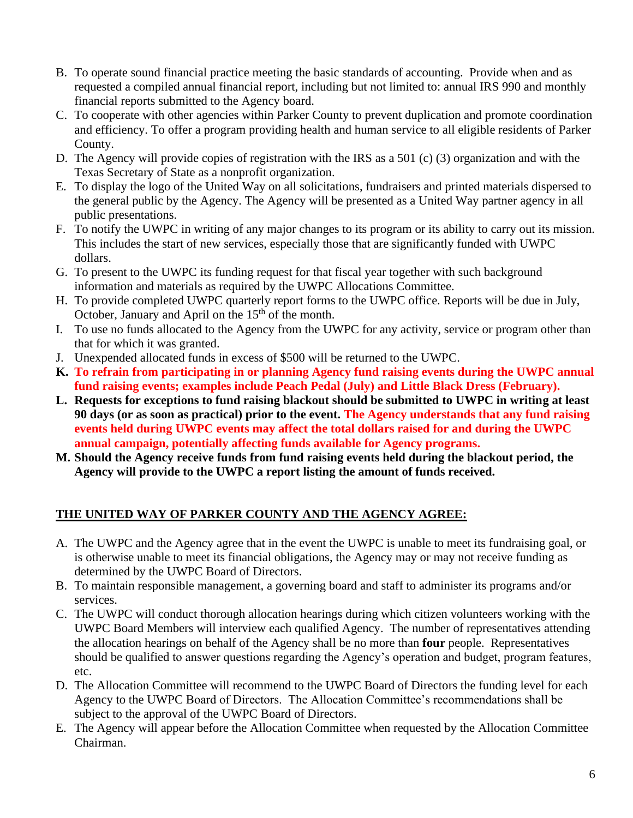- B. To operate sound financial practice meeting the basic standards of accounting. Provide when and as requested a compiled annual financial report, including but not limited to: annual IRS 990 and monthly financial reports submitted to the Agency board.
- C. To cooperate with other agencies within Parker County to prevent duplication and promote coordination and efficiency. To offer a program providing health and human service to all eligible residents of Parker County.
- D. The Agency will provide copies of registration with the IRS as a 501 (c) (3) organization and with the Texas Secretary of State as a nonprofit organization.
- E. To display the logo of the United Way on all solicitations, fundraisers and printed materials dispersed to the general public by the Agency. The Agency will be presented as a United Way partner agency in all public presentations.
- F. To notify the UWPC in writing of any major changes to its program or its ability to carry out its mission. This includes the start of new services, especially those that are significantly funded with UWPC dollars.
- G. To present to the UWPC its funding request for that fiscal year together with such background information and materials as required by the UWPC Allocations Committee.
- H. To provide completed UWPC quarterly report forms to the UWPC office. Reports will be due in July, October, January and April on the 15<sup>th</sup> of the month.
- I. To use no funds allocated to the Agency from the UWPC for any activity, service or program other than that for which it was granted.
- J. Unexpended allocated funds in excess of \$500 will be returned to the UWPC.
- **K. To refrain from participating in or planning Agency fund raising events during the UWPC annual fund raising events; examples include Peach Pedal (July) and Little Black Dress (February).**
- **L. Requests for exceptions to fund raising blackout should be submitted to UWPC in writing at least 90 days (or as soon as practical) prior to the event. The Agency understands that any fund raising events held during UWPC events may affect the total dollars raised for and during the UWPC annual campaign, potentially affecting funds available for Agency programs.**
- **M. Should the Agency receive funds from fund raising events held during the blackout period, the Agency will provide to the UWPC a report listing the amount of funds received.**

# **THE UNITED WAY OF PARKER COUNTY AND THE AGENCY AGREE:**

- A. The UWPC and the Agency agree that in the event the UWPC is unable to meet its fundraising goal, or is otherwise unable to meet its financial obligations, the Agency may or may not receive funding as determined by the UWPC Board of Directors.
- B. To maintain responsible management, a governing board and staff to administer its programs and/or services.
- C. The UWPC will conduct thorough allocation hearings during which citizen volunteers working with the UWPC Board Members will interview each qualified Agency. The number of representatives attending the allocation hearings on behalf of the Agency shall be no more than **four** people. Representatives should be qualified to answer questions regarding the Agency's operation and budget, program features, etc.
- D. The Allocation Committee will recommend to the UWPC Board of Directors the funding level for each Agency to the UWPC Board of Directors. The Allocation Committee's recommendations shall be subject to the approval of the UWPC Board of Directors.
- E. The Agency will appear before the Allocation Committee when requested by the Allocation Committee Chairman.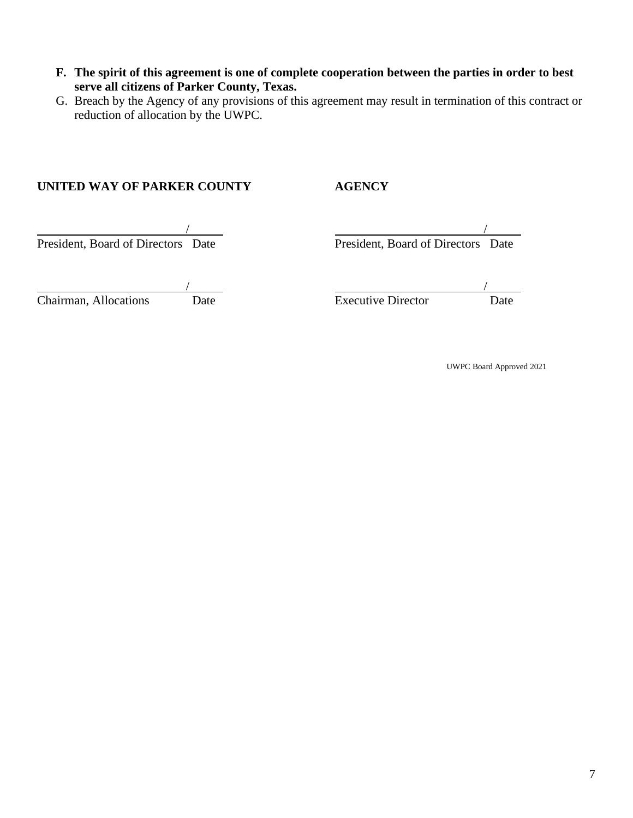- **F. The spirit of this agreement is one of complete cooperation between the parties in order to best serve all citizens of Parker County, Texas.**
- G. Breach by the Agency of any provisions of this agreement may result in termination of this contract or reduction of allocation by the UWPC.

### **UNITED WAY OF PARKER COUNTY AGENCY**

President, Board of Directors Date

President, Board of Directors Date

| Date | Executive Director | Jate |
|------|--------------------|------|

Chairman, Allocations Date Executive Director Date

UWPC Board Approved 2021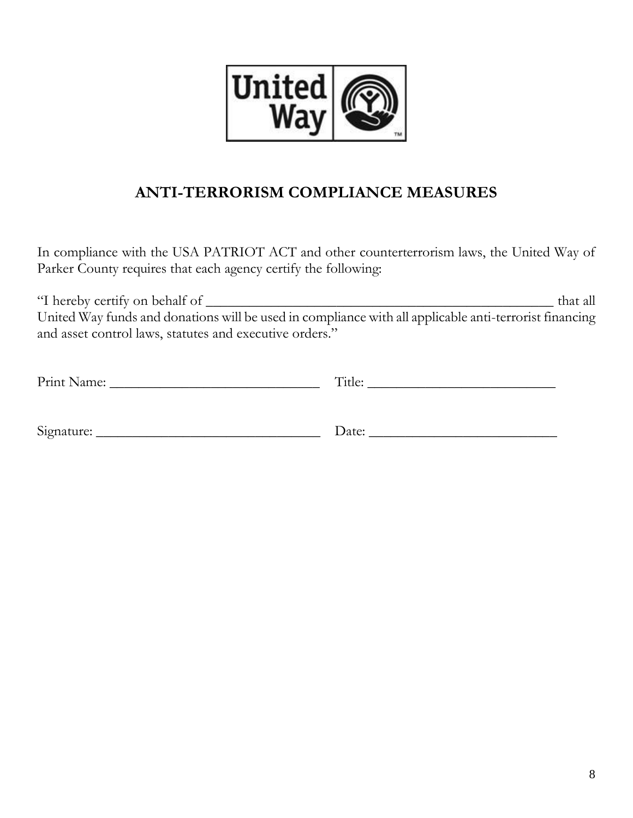

# **ANTI-TERRORISM COMPLIANCE MEASURES**

In compliance with the USA PATRIOT ACT and other counterterrorism laws, the United Way of Parker County requires that each agency certify the following:

"I hereby certify on behalf of \_\_\_\_\_\_\_\_\_\_\_\_\_\_\_\_\_\_\_\_\_\_\_\_\_\_\_\_\_\_\_\_\_\_\_\_\_\_\_\_\_\_\_\_\_\_\_\_ that all United Way funds and donations will be used in compliance with all applicable anti-terrorist financing and asset control laws, statutes and executive orders."

| Print Name: | Title: |
|-------------|--------|
|             |        |
| Signature:  | Date:  |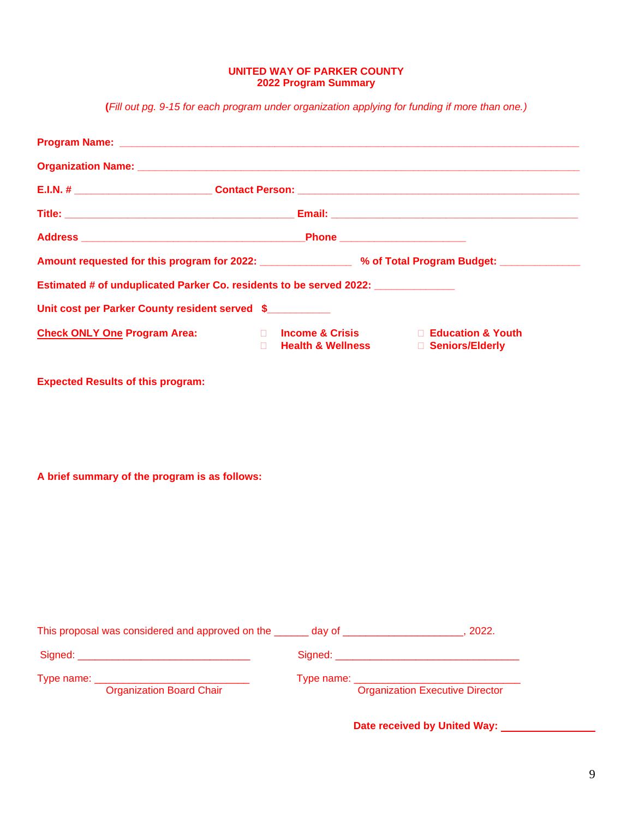#### **UNITED WAY OF PARKER COUNTY 2022 Program Summary**

**(***Fill out pg. 9-15 for each program under organization applying for funding if more than one.)*

| Amount requested for this program for 2022: _________________ % of Total Program Budget: ____________ |        |                                     |                                       |
|-------------------------------------------------------------------------------------------------------|--------|-------------------------------------|---------------------------------------|
| Estimated # of unduplicated Parker Co. residents to be served 2022: ____________                      |        |                                     |                                       |
| Unit cost per Parker County resident served \$                                                        |        |                                     |                                       |
| <b>Check ONLY One Program Area:</b>                                                                   | $\Box$ | Health & Wellness □ Seniors/Elderly | □ Income & Crisis □ Education & Youth |
| <b>Expected Results of this program:</b>                                                              |        |                                     |                                       |
|                                                                                                       |        |                                     |                                       |
|                                                                                                       |        |                                     |                                       |
| A brief summary of the program is as follows:                                                         |        |                                     |                                       |
|                                                                                                       |        |                                     |                                       |
|                                                                                                       |        |                                     |                                       |
|                                                                                                       |        |                                     |                                       |
|                                                                                                       |        |                                     |                                       |
|                                                                                                       |        |                                     |                                       |
|                                                                                                       |        |                                     |                                       |
| This proposal was considered and approved on the ______ day of ___________________, 2022.             |        |                                     |                                       |

Signed: \_\_\_\_\_\_\_\_\_\_\_\_\_\_\_\_\_\_\_\_\_\_\_\_\_\_\_\_\_\_ Signed: \_\_\_\_\_\_\_\_\_\_\_\_\_\_\_\_\_\_\_\_\_\_\_\_\_\_\_\_\_\_\_\_

Type name: \_\_\_\_\_\_\_\_\_\_\_\_\_\_\_\_\_\_\_\_\_\_\_\_\_\_\_\_\_\_\_\_\_ Type name: \_\_\_\_\_\_\_\_\_\_\_\_\_\_\_\_\_\_\_\_\_\_

**Organization Board Chair Chair Chair Chair Chair Chair Chair Chair Chair Chair Chair Chair Chair Chair Chair Chair Chair Chair Chair Chair Chair Chair Chair Chair Chair Chair Chair Chair Chair Chair Chair Chair Chair Chai** 

**Date received by United Way:**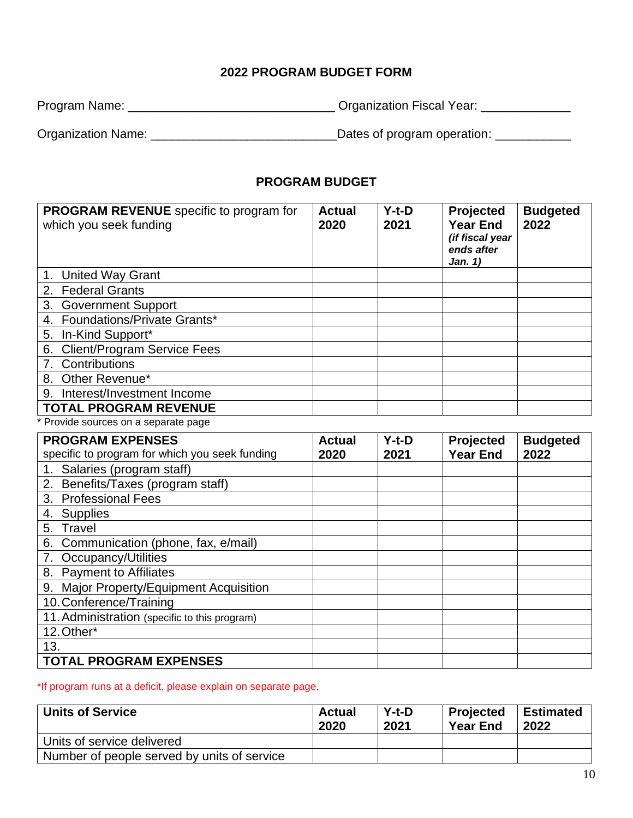# **2022 PROGRAM BUDGET FORM**

| Program Name: | <b>Organization Fiscal Year:</b> |  |
|---------------|----------------------------------|--|
|               |                                  |  |

Organization Name: \_\_\_\_\_\_\_\_\_\_\_\_\_\_\_\_\_\_\_\_\_\_\_\_\_\_\_Dates of program operation: \_\_\_\_\_\_\_\_\_\_\_

# **PROGRAM BUDGET**

| <b>PROGRAM REVENUE</b> specific to program for<br>which you seek funding | <b>Actual</b><br>2020 | $Y-t-D$<br>2021 | Projected<br><b>Year End</b><br>(if fiscal year<br>ends after<br>Jan. 1) | <b>Budgeted</b><br>2022 |
|--------------------------------------------------------------------------|-----------------------|-----------------|--------------------------------------------------------------------------|-------------------------|
| 1. United Way Grant                                                      |                       |                 |                                                                          |                         |
| 2. Federal Grants                                                        |                       |                 |                                                                          |                         |
| 3. Government Support                                                    |                       |                 |                                                                          |                         |
| 4. Foundations/Private Grants*                                           |                       |                 |                                                                          |                         |
| 5. In-Kind Support*                                                      |                       |                 |                                                                          |                         |
| <b>Client/Program Service Fees</b><br>6.                                 |                       |                 |                                                                          |                         |
| Contributions                                                            |                       |                 |                                                                          |                         |
| 8. Other Revenue*                                                        |                       |                 |                                                                          |                         |
| Interest/Investment Income<br>9.                                         |                       |                 |                                                                          |                         |
| <b>TOTAL PROGRAM REVENUE</b>                                             |                       |                 |                                                                          |                         |
| * Provide sources on a separate page                                     |                       |                 |                                                                          |                         |

| <b>PROGRAM EXPENSES</b>                        | <b>Actual</b> | $Y-t-D$ | Projected       | <b>Budgeted</b> |
|------------------------------------------------|---------------|---------|-----------------|-----------------|
| specific to program for which you seek funding | 2020          | 2021    | <b>Year End</b> | 2022            |
| 1. Salaries (program staff)                    |               |         |                 |                 |
| 2. Benefits/Taxes (program staff)              |               |         |                 |                 |
| 3. Professional Fees                           |               |         |                 |                 |
| <b>Supplies</b><br>4.                          |               |         |                 |                 |
| Travel<br>5.                                   |               |         |                 |                 |
| 6.<br>Communication (phone, fax, e/mail)       |               |         |                 |                 |
| Occupancy/Utilities                            |               |         |                 |                 |
| 8. Payment to Affiliates                       |               |         |                 |                 |
| 9.<br>Major Property/Equipment Acquisition     |               |         |                 |                 |
| 10. Conference/Training                        |               |         |                 |                 |
| 11. Administration (specific to this program)  |               |         |                 |                 |
| 12. Other*                                     |               |         |                 |                 |
| 13.                                            |               |         |                 |                 |
| <b>TOTAL PROGRAM EXPENSES</b>                  |               |         |                 |                 |

### \*If program runs at a deficit, please explain on separate page.

| <b>Units of Service</b>                     | Actual<br>2020 | $Y-t-D$<br>2021 | Projected<br><b>Year End</b> | <b>Estimated</b><br>2022 |
|---------------------------------------------|----------------|-----------------|------------------------------|--------------------------|
| Units of service delivered                  |                |                 |                              |                          |
| Number of people served by units of service |                |                 |                              |                          |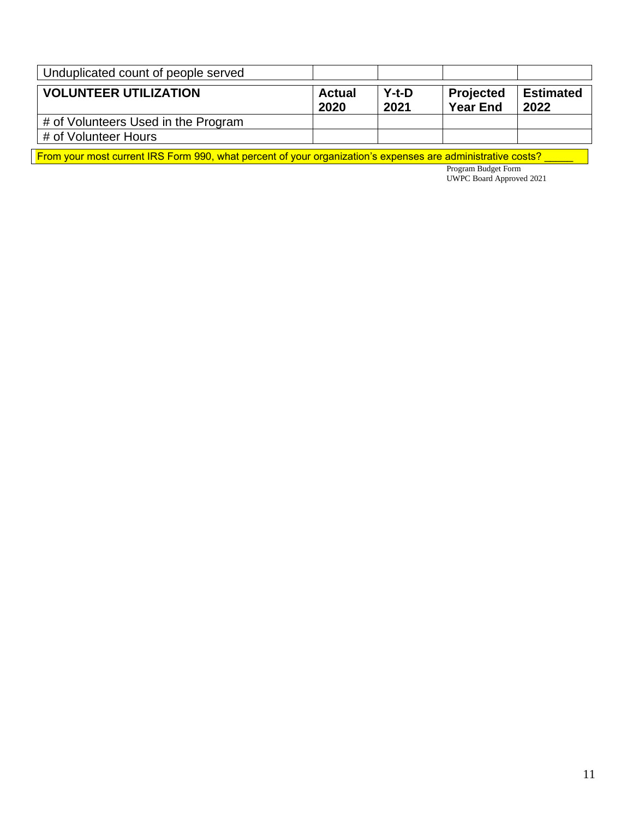| Unduplicated count of people served |                       |                 |                              |                   |
|-------------------------------------|-----------------------|-----------------|------------------------------|-------------------|
| <b>VOLUNTEER UTILIZATION</b>        | <b>Actual</b><br>2020 | $Y-t-D$<br>2021 | Projected<br><b>Year End</b> | Estimated<br>2022 |
| # of Volunteers Used in the Program |                       |                 |                              |                   |
| # of Volunteer Hours                |                       |                 |                              |                   |

From your most current IRS Form 990, what percent of your organization's expenses are administrative costs? \_\_\_\_

Program Budget Form UWPC Board Approved 2021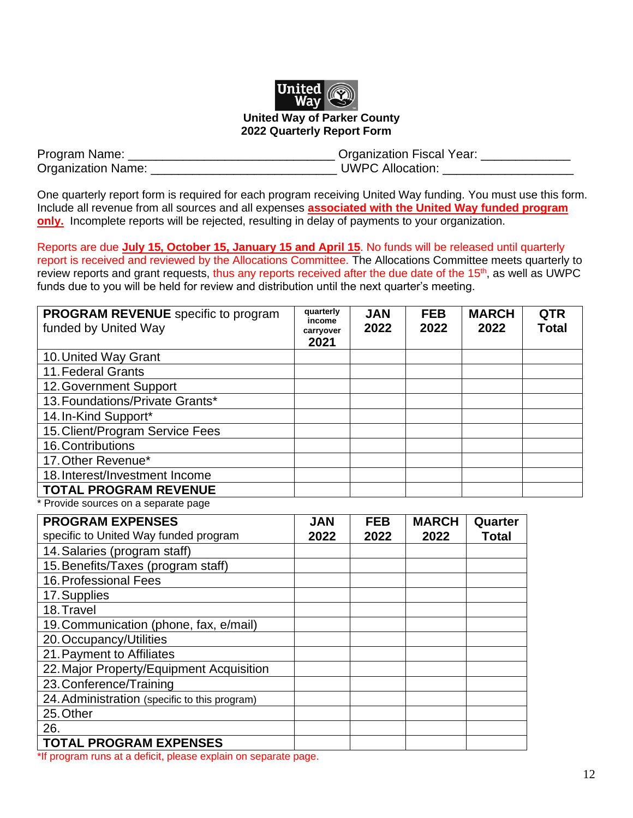

#### **United Way of Parker County 2022 Quarterly Report Form**

| Program Name:             | <b>Organization Fiscal Year:</b> |
|---------------------------|----------------------------------|
| <b>Organization Name:</b> | <b>UWPC Allocation:</b>          |

One quarterly report form is required for each program receiving United Way funding. You must use this form. Include all revenue from all sources and all expenses **associated with the United Way funded program only.** Incomplete reports will be rejected, resulting in delay of payments to your organization.

Reports are due **July 15, October 15, January 15 and April 15**. No funds will be released until quarterly report is received and reviewed by the Allocations Committee. The Allocations Committee meets quarterly to review reports and grant requests, thus any reports received after the due date of the 15<sup>th</sup>, as well as UWPC funds due to you will be held for review and distribution until the next quarter's meeting.

| <b>PROGRAM REVENUE</b> specific to program<br>funded by United Way | quarterly<br>income<br>carryover<br>2021 | <b>JAN</b><br>2022 | <b>FEB</b><br>2022 | <b>MARCH</b><br>2022 | <b>QTR</b><br><b>Total</b> |
|--------------------------------------------------------------------|------------------------------------------|--------------------|--------------------|----------------------|----------------------------|
| 10. United Way Grant                                               |                                          |                    |                    |                      |                            |
| 11. Federal Grants                                                 |                                          |                    |                    |                      |                            |
| 12. Government Support                                             |                                          |                    |                    |                      |                            |
| 13. Foundations/Private Grants*                                    |                                          |                    |                    |                      |                            |
| 14. In-Kind Support*                                               |                                          |                    |                    |                      |                            |
| 15. Client/Program Service Fees                                    |                                          |                    |                    |                      |                            |
| 16. Contributions                                                  |                                          |                    |                    |                      |                            |
| 17. Other Revenue*                                                 |                                          |                    |                    |                      |                            |
| 18. Interest/Investment Income                                     |                                          |                    |                    |                      |                            |
| <b>TOTAL PROGRAM REVENUE</b>                                       |                                          |                    |                    |                      |                            |

Provide sources on a separate page

| <b>PROGRAM EXPENSES</b>                                        | <b>JAN</b> | <b>FEB</b> | <b>MARCH</b> | Quarter      |
|----------------------------------------------------------------|------------|------------|--------------|--------------|
| specific to United Way funded program                          | 2022       | 2022       | 2022         | <b>Total</b> |
| 14. Salaries (program staff)                                   |            |            |              |              |
| 15. Benefits/Taxes (program staff)                             |            |            |              |              |
| 16. Professional Fees                                          |            |            |              |              |
| 17. Supplies                                                   |            |            |              |              |
| 18. Travel                                                     |            |            |              |              |
| 19. Communication (phone, fax, e/mail)                         |            |            |              |              |
| 20. Occupancy/Utilities                                        |            |            |              |              |
| 21. Payment to Affiliates                                      |            |            |              |              |
| 22. Major Property/Equipment Acquisition                       |            |            |              |              |
| 23. Conference/Training                                        |            |            |              |              |
| 24. Administration (specific to this program)                  |            |            |              |              |
| 25. Other                                                      |            |            |              |              |
| 26.                                                            |            |            |              |              |
| <b>TOTAL PROGRAM EXPENSES</b>                                  |            |            |              |              |
| *If arogram runo at a deficit inloace evalgin on concrete nogo |            |            |              |              |

'If program runs at a deficit, please explain on separate page.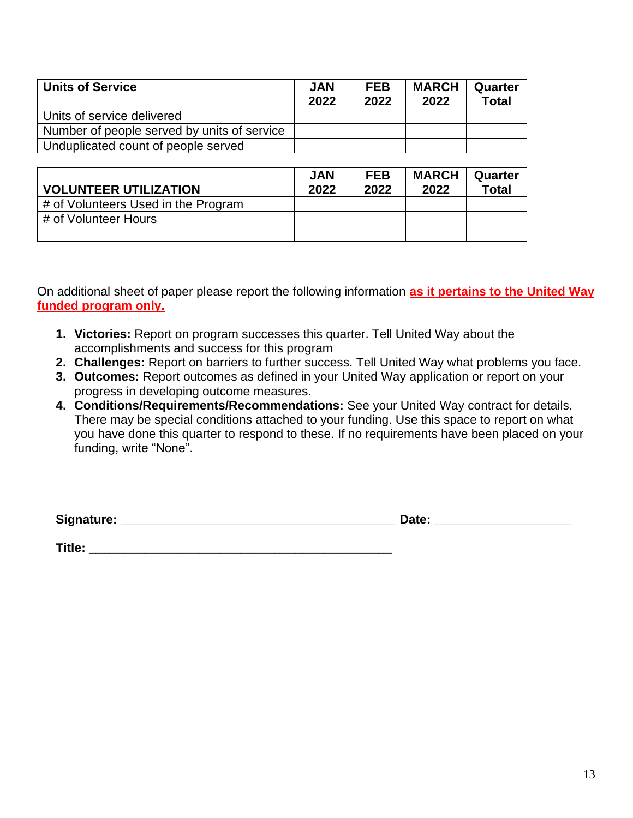| <b>Units of Service</b>                     | <b>JAN</b><br>2022 | <b>FEB</b><br>2022 | <b>MARCH</b><br>2022 | Quarter<br><b>Total</b> |
|---------------------------------------------|--------------------|--------------------|----------------------|-------------------------|
| Units of service delivered                  |                    |                    |                      |                         |
| Number of people served by units of service |                    |                    |                      |                         |
| Unduplicated count of people served         |                    |                    |                      |                         |

| <b>VOLUNTEER UTILIZATION</b>        | <b>JAN</b><br>2022 | <b>FEB</b><br>2022 | <b>MARCH</b><br>2022 | Quarter<br><b>Total</b> |
|-------------------------------------|--------------------|--------------------|----------------------|-------------------------|
| # of Volunteers Used in the Program |                    |                    |                      |                         |
| # of Volunteer Hours                |                    |                    |                      |                         |
|                                     |                    |                    |                      |                         |

On additional sheet of paper please report the following information **as it pertains to the United Way funded program only.**

- **1. Victories:** Report on program successes this quarter. Tell United Way about the accomplishments and success for this program
- **2. Challenges:** Report on barriers to further success. Tell United Way what problems you face.
- **3. Outcomes:** Report outcomes as defined in your United Way application or report on your progress in developing outcome measures.
- **4. Conditions/Requirements/Recommendations:** See your United Way contract for details. There may be special conditions attached to your funding. Use this space to report on what you have done this quarter to respond to these. If no requirements have been placed on your funding, write "None".

**Title: \_\_\_\_\_\_\_\_\_\_\_\_\_\_\_\_\_\_\_\_\_\_\_\_\_\_\_\_\_\_\_\_\_\_\_\_\_\_\_\_\_\_\_\_**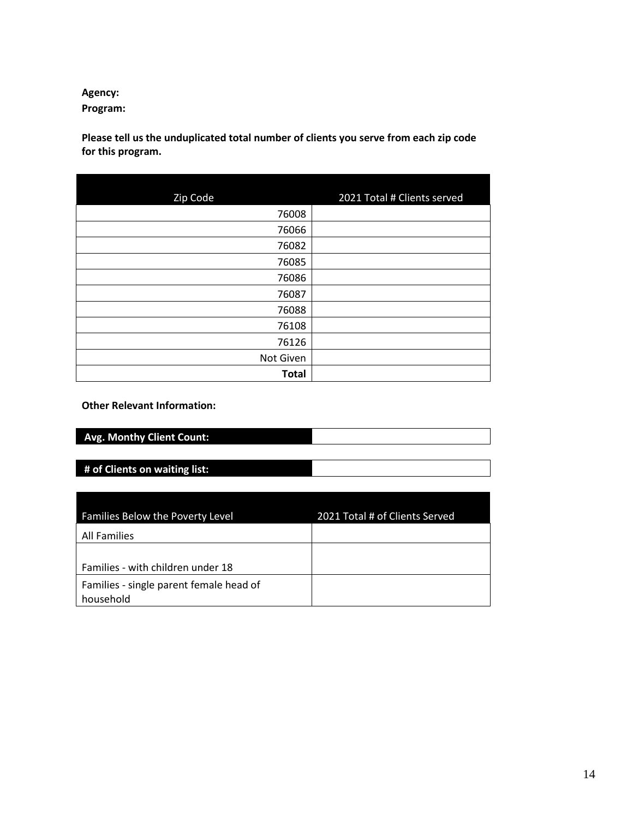# **Agency:**

**Program:**

**Please tell us the unduplicated total number of clients you serve from each zip code for this program.**

| Zip Code     | 2021 Total # Clients served |
|--------------|-----------------------------|
| 76008        |                             |
| 76066        |                             |
| 76082        |                             |
| 76085        |                             |
| 76086        |                             |
| 76087        |                             |
| 76088        |                             |
| 76108        |                             |
| 76126        |                             |
| Not Given    |                             |
| <b>Total</b> |                             |

**Other Relevant Information:**

| <b>Avg. Monthy Client Count:</b> |  |
|----------------------------------|--|
|                                  |  |

**# of Clients on waiting list:**

| Families Below the Poverty Level        | 2021 Total # of Clients Served |
|-----------------------------------------|--------------------------------|
| All Families                            |                                |
|                                         |                                |
| Families - with children under 18       |                                |
| Families - single parent female head of |                                |
| household                               |                                |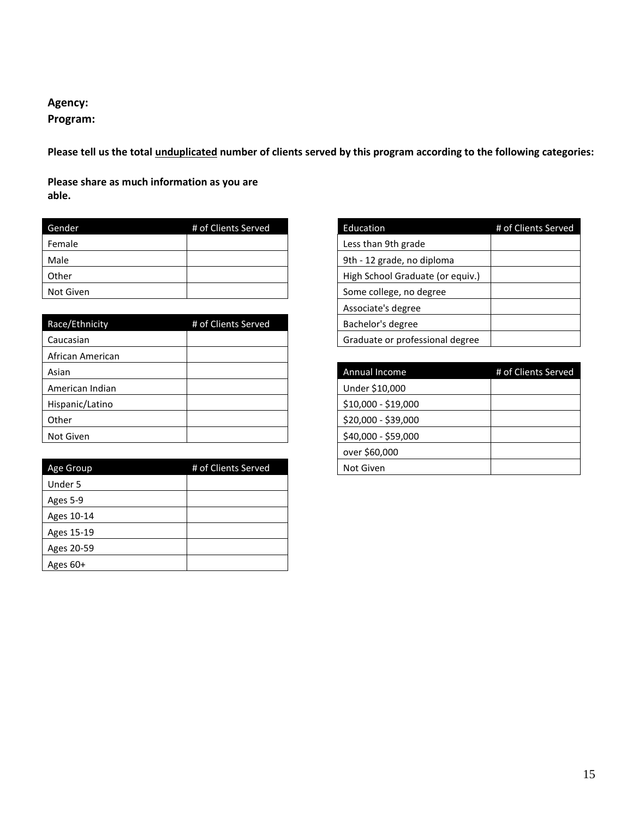**Agency:**

# **Program:**

**Please tell us the total unduplicated number of clients served by this program according to the following categories:**

**Please share as much information as you are able.**

| Gender    | # of Clients Served | Education                        | # of Clients Served |
|-----------|---------------------|----------------------------------|---------------------|
| Female    |                     | Less than 9th grade              |                     |
| Male      |                     | 9th - 12 grade, no diploma       |                     |
| Other     |                     | High School Graduate (or equiv.) |                     |
| Not Given |                     | Some college, no degree          |                     |

| Race/Ethnicity<br># of Clients Served |
|---------------------------------------|
| Caucasian                             |
| African American                      |
| Asian                                 |
| American Indian                       |
| Hispanic/Latino                       |
| Other                                 |
| Not Given                             |

| Age Group  | # of Clients Served | Not Given |
|------------|---------------------|-----------|
| Under 5    |                     |           |
| Ages 5-9   |                     |           |
| Ages 10-14 |                     |           |
| Ages 15-19 |                     |           |
| Ages 20-59 |                     |           |
| Ages 60+   |                     |           |

| Education                        | # of Clients Served |
|----------------------------------|---------------------|
| Less than 9th grade              |                     |
| 9th - 12 grade, no diploma       |                     |
| High School Graduate (or equiv.) |                     |
| Some college, no degree          |                     |
| Associate's degree               |                     |
| Bachelor's degree                |                     |
| Graduate or professional degree  |                     |

| Asian           |                     | Annual Income       | # of Clients Served |
|-----------------|---------------------|---------------------|---------------------|
| American Indian |                     | Under \$10,000      |                     |
| Hispanic/Latino |                     | \$10,000 - \$19,000 |                     |
| Other           |                     | \$20,000 - \$39,000 |                     |
| Not Given       |                     | \$40,000 - \$59,000 |                     |
|                 |                     | over \$60,000       |                     |
| Age Group       | # of Clients Served | Not Given           |                     |